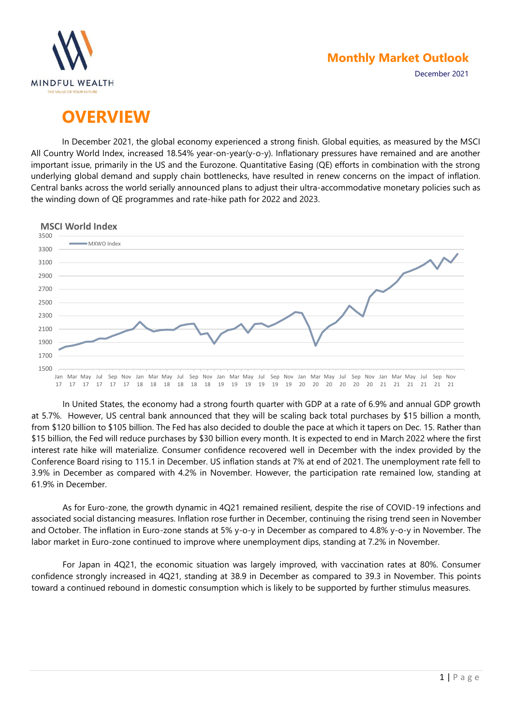

December 2021

# **OVERVIEW**

In December 2021, the global economy experienced a strong finish. Global equities, as measured by the MSCI All Country World Index, increased 18.54% year-on-year(y-o-y). Inflationary pressures have remained and are another important issue, primarily in the US and the Eurozone. Quantitative Easing (QE) efforts in combination with the strong underlying global demand and supply chain bottlenecks, have resulted in renew concerns on the impact of inflation. Central banks across the world serially announced plans to adjust their ultra-accommodative monetary policies such as the winding down of QE programmes and rate-hike path for 2022 and 2023.



In United States, the economy had a strong fourth quarter with GDP at a rate of 6.9% and annual GDP growth at 5.7%. However, US central bank announced that they will be scaling back total purchases by \$15 billion a month, from \$120 billion to \$105 billion. The Fed has also decided to double the pace at which it tapers on Dec. 15. Rather than \$15 billion, the Fed will reduce purchases by \$30 billion every month. It is expected to end in March 2022 where the first interest rate hike will materialize. Consumer confidence recovered well in December with the index provided by the Conference Board rising to 115.1 in December. US inflation stands at 7% at end of 2021. The unemployment rate fell to 3.9% in December as compared with 4.2% in November. However, the participation rate remained low, standing at 61.9% in December.

As for Euro-zone, the growth dynamic in 4Q21 remained resilient, despite the rise of COVID-19 infections and associated social distancing measures. Inflation rose further in December, continuing the rising trend seen in November and October. The inflation in Euro-zone stands at 5% y-o-y in December as compared to 4.8% y-o-y in November. The labor market in Euro-zone continued to improve where unemployment dips, standing at 7.2% in November.

For Japan in 4Q21, the economic situation was largely improved, with vaccination rates at 80%. Consumer confidence strongly increased in 4Q21, standing at 38.9 in December as compared to 39.3 in November. This points toward a continued rebound in domestic consumption which is likely to be supported by further stimulus measures.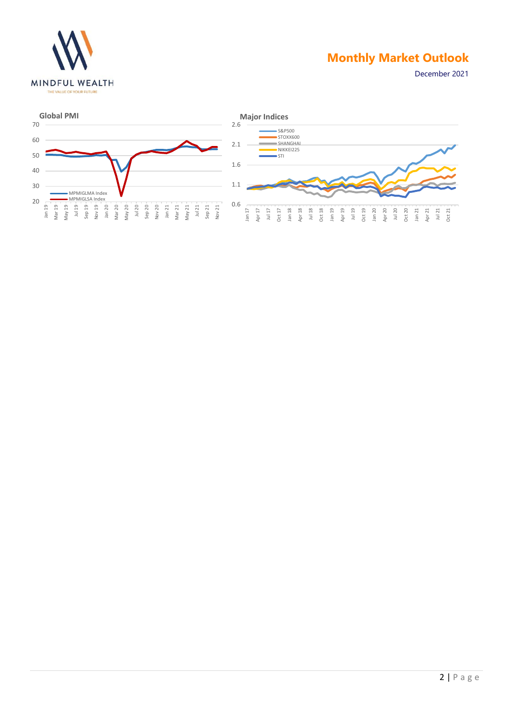

December 2021

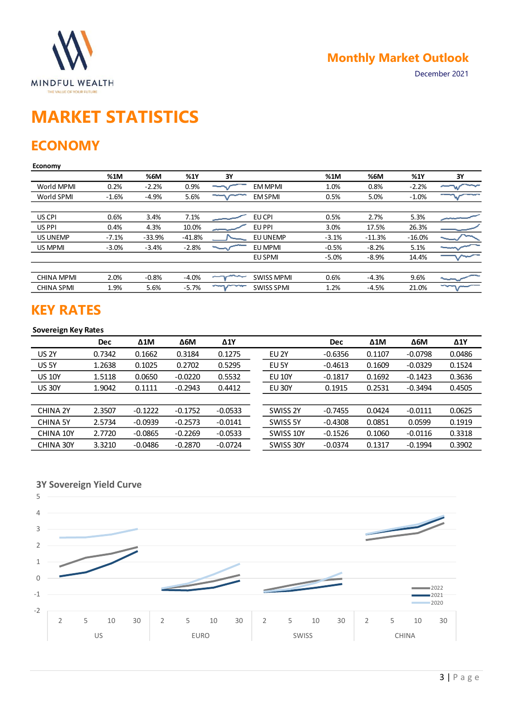

# **MARKET STATISTICS**

# **ECONOMY**

#### **Economy**

|                 | %1M     | %6M      | %1Y      | 3Y |                   | %1M     | %6M      | %1Y      | 3Υ |
|-----------------|---------|----------|----------|----|-------------------|---------|----------|----------|----|
| World MPMI      | 0.2%    | $-2.2%$  | 0.9%     |    | <b>EM MPMI</b>    | 1.0%    | 0.8%     | $-2.2%$  |    |
| World SPMI      | $-1.6%$ | $-4.9%$  | 5.6%     |    | <b>EM SPMI</b>    | 0.5%    | 5.0%     | $-1.0%$  |    |
|                 |         |          |          |    |                   |         |          |          |    |
| US CPI          | 0.6%    | 3.4%     | 7.1%     |    | EU CPI            | 0.5%    | 2.7%     | 5.3%     |    |
| US PPI          | 0.4%    | 4.3%     | 10.0%    |    | EU PPI            | 3.0%    | 17.5%    | 26.3%    |    |
| <b>US UNEMP</b> | $-7.1%$ | $-33.9%$ | $-41.8%$ |    | <b>EU UNEMP</b>   | $-3.1%$ | $-11.3%$ | $-16.0%$ |    |
| US MPMI         | $-3.0%$ | $-3.4%$  | $-2.8%$  |    | EU MPMI           | $-0.5%$ | $-8.2%$  | 5.1%     |    |
|                 |         |          |          |    | EU SPMI           | $-5.0%$ | $-8.9%$  | 14.4%    |    |
|                 |         |          |          |    |                   |         |          |          |    |
| CHINA MPMI      | 2.0%    | $-0.8%$  | $-4.0%$  |    | <b>SWISS MPMI</b> | 0.6%    | $-4.3%$  | 9.6%     |    |
| CHINA SPMI      | 1.9%    | 5.6%     | $-5.7%$  |    | <b>SWISS SPMI</b> | 1.2%    | $-4.5%$  | 21.0%    |    |
|                 |         |          |          |    |                   |         |          |          |    |

## **KEY RATES**

### **Sovereign Key Rates**

|                 | <b>Dec</b> | $\Delta 1$ M | $\Delta$ 6M | $\Delta$ 1Y |                  | <b>Dec</b> | $\Delta 1$ M | $\Delta$ 6M | $\Delta$ 1Y |
|-----------------|------------|--------------|-------------|-------------|------------------|------------|--------------|-------------|-------------|
| <b>US 2Y</b>    | 0.7342     | 0.1662       | 0.3184      | 0.1275      | EU <sub>2Y</sub> | $-0.6356$  | 0.1107       | $-0.0798$   | 0.0486      |
| <b>US 5Y</b>    | 1.2638     | 0.1025       | 0.2702      | 0.5295      | EU <sub>5Y</sub> | $-0.4613$  | 0.1609       | $-0.0329$   | 0.1524      |
| <b>US 10Y</b>   | 1.5118     | 0.0650       | $-0.0220$   | 0.5532      | <b>EU 10Y</b>    | $-0.1817$  | 0.1692       | $-0.1423$   | 0.3636      |
| <b>US 30Y</b>   | 1.9042     | 0.1111       | $-0.2943$   | 0.4412      | <b>EU 30Y</b>    | 0.1915     | 0.2531       | $-0.3494$   | 0.4505      |
|                 |            |              |             |             |                  |            |              |             |             |
| CHINA 2Y        | 2.3507     | $-0.1222$    | $-0.1752$   | $-0.0533$   | SWISS 2Y         | $-0.7455$  | 0.0424       | $-0.0111$   | 0.0625      |
| <b>CHINA 5Y</b> | 2.5734     | $-0.0939$    | $-0.2573$   | $-0.0141$   | SWISS 5Y         | $-0.4308$  | 0.0851       | 0.0599      | 0.1919      |
| CHINA 10Y       | 2.7720     | $-0.0865$    | $-0.2269$   | $-0.0533$   | SWISS 10Y        | $-0.1526$  | 0.1060       | $-0.0116$   | 0.3318      |
| CHINA 30Y       | 3.3210     | $-0.0486$    | $-0.2870$   | $-0.0724$   | SWISS 30Y        | $-0.0374$  | 0.1317       | $-0.1994$   | 0.3902      |



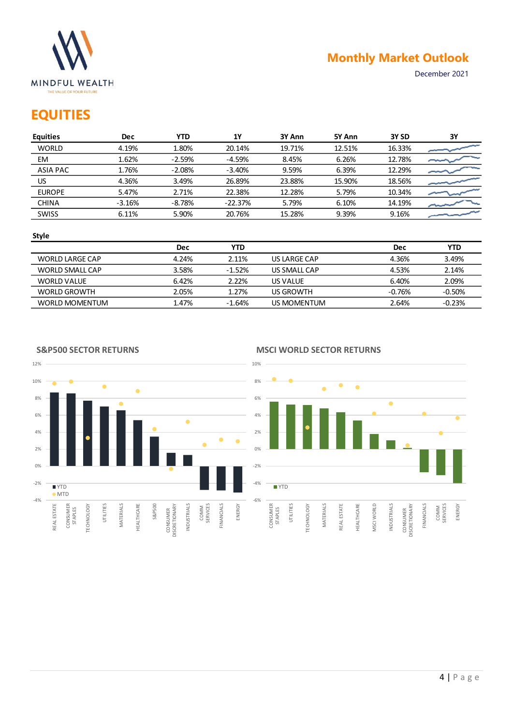

# **EQUITIES**

| <b>Equities</b> | <b>Dec</b> | YTD.     | 1Y        | 3Y Ann | 5Y Ann | 3Y SD  | 3Y |
|-----------------|------------|----------|-----------|--------|--------|--------|----|
| <b>WORLD</b>    | 4.19%      | 1.80%    | 20.14%    | 19.71% | 12.51% | 16.33% |    |
| EM              | 1.62%      | $-2.59%$ | $-4.59%$  | 8.45%  | 6.26%  | 12.78% |    |
| <b>ASIA PAC</b> | 1.76%      | $-2.08%$ | $-3.40%$  | 9.59%  | 6.39%  | 12.29% |    |
| US              | 4.36%      | 3.49%    | 26.89%    | 23.88% | 15.90% | 18.56% |    |
| <b>EUROPE</b>   | 5.47%      | 2.71%    | 22.38%    | 12.28% | 5.79%  | 10.34% |    |
| <b>CHINA</b>    | $-3.16%$   | $-8.78%$ | $-22.37%$ | 5.79%  | 6.10%  | 14.19% |    |
| <b>SWISS</b>    | 6.11%      | 5.90%    | 20.76%    | 15.28% | 9.39%  | 9.16%  |    |
|                 |            |          |           |        |        |        |    |

#### **Style**

|                       | <b>Dec</b> | YTD      |              | Dec      | YTD      |
|-----------------------|------------|----------|--------------|----------|----------|
| WORLD LARGE CAP       | 4.24%      | 2.11%    | US LARGE CAP | 4.36%    | 3.49%    |
| WORLD SMALL CAP       | 3.58%      | $-1.52%$ | US SMALL CAP | 4.53%    | 2.14%    |
| WORLD VALUE           | 6.42%      | 2.22%    | US VALUE     | 6.40%    | 2.09%    |
| <b>WORLD GROWTH</b>   | 2.05%      | 1.27%    | US GROWTH    | $-0.76%$ | $-0.50%$ |
| <b>WORLD MOMENTUM</b> | 1.47%      | $-1.64%$ | US MOMENTUM  | 2.64%    | $-0.23%$ |

12% 10%  $\bullet$  $\bullet$ 8% 6%  $\bullet$ 4%  $\bullet$  .  $\bullet$ 2% 0% -2% **N**YTD MTD -4% S&P500 CONSUMER<br>DISCRETIONARY ENERGY REAL ESTATE TECHNOLOGY UTILITIES MATERIALS HEALTHCARE INDUSTRIALS FINANCIALS CONSUMER STAPLES DISCRETIONARY COMM SERVICES

#### **S&P500 SECTOR RETURNS**

#### **MSCI WORLD SECTOR RETURNS**

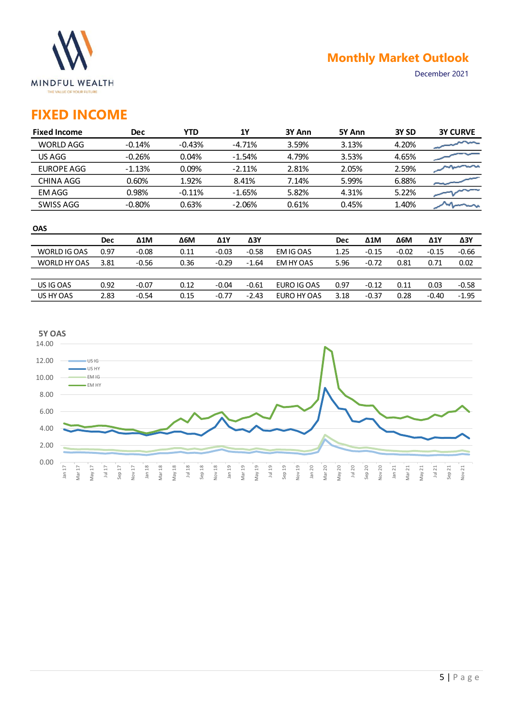

## **FIXED INCOME**

| <b>Fixed Income</b> | <b>Dec</b> | YTD      | <b>1Y</b> | 3Y Ann | 5Y Ann | 3Y <sub>SD</sub> | <b>3Y CURVE</b> |
|---------------------|------------|----------|-----------|--------|--------|------------------|-----------------|
| WORLD AGG           | $-0.14%$   | $-0.43%$ | $-4.71%$  | 3.59%  | 3.13%  | 4.20%            |                 |
| US AGG              | $-0.26%$   | 0.04%    | $-1.54%$  | 4.79%  | 3.53%  | 4.65%            |                 |
| EUROPE AGG          | $-1.13%$   | 0.09%    | $-2.11%$  | 2.81%  | 2.05%  | 2.59%            |                 |
| CHINA AGG           | 0.60%      | 1.92%    | 8.41%     | 7.14%  | 5.99%  | 6.88%            |                 |
| EM AGG              | 0.98%      | $-0.11%$ | $-1.65%$  | 5.82%  | 4.31%  | 5.22%            |                 |
| SWISS AGG           | $-0.80%$   | 0.63%    | $-2.06%$  | 0.61%  | 0.45%  | 1.40%            |                 |

| <b>OAS</b>   |            |              |      |             |         |             |            |              |             |             |         |
|--------------|------------|--------------|------|-------------|---------|-------------|------------|--------------|-------------|-------------|---------|
|              | <b>Dec</b> | $\Delta 1$ M | Δ6M  | $\Delta$ 1Y | ΔЗΥ     |             | <b>Dec</b> | $\Delta 1$ M | $\Delta$ 6M | $\Delta$ 1Y | ΔЗΥ     |
| WORLD IG OAS | 0.97       | $-0.08$      | 0.11 | $-0.03$     | $-0.58$ | EM IG OAS   | 1.25       | $-0.15$      | $-0.02$     | $-0.15$     | $-0.66$ |
| WORLD HY OAS | 3.81       | $-0.56$      | 0.36 | $-0.29$     | $-1.64$ | EM HY OAS   | 5.96       | $-0.72$      | 0.81        | 0.71        | 0.02    |
|              |            |              |      |             |         |             |            |              |             |             |         |
| US IG OAS    | 0.92       | $-0.07$      | 0.12 | $-0.04$     | $-0.61$ | EURO IG OAS | 0.97       | $-0.12$      | 0.11        | 0.03        | $-0.58$ |
| US HY OAS    | 2.83       | $-0.54$      | 0.15 | $-0.77$     | $-2.43$ | EURO HY OAS | 3.18       | $-0.37$      | 0.28        | $-0.40$     | $-1.95$ |
|              |            |              |      |             |         |             |            |              |             |             |         |

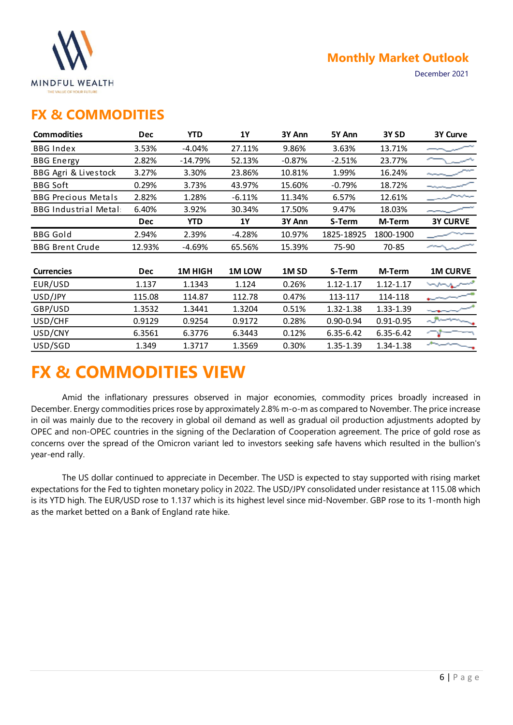

December 2021

### **FX & COMMODITIES**

| <b>Commodities</b>          | <b>Dec</b> | <b>YTD</b>    | 1Y        | 3Y Ann           | 5Y Ann        | 3Y SD         | 3Y Curve        |
|-----------------------------|------------|---------------|-----------|------------------|---------------|---------------|-----------------|
| <b>BBG Index</b>            | 3.53%      | $-4.04%$      | 27.11%    | 9.86%            | 3.63%         | 13.71%        |                 |
| <b>BBG</b> Energy           | 2.82%      | -14.79%       | 52.13%    | $-0.87%$         | $-2.51%$      | 23.77%        |                 |
| BBG Agri & Livestock        | 3.27%      | 3.30%         | 23.86%    | 10.81%           | 1.99%         | 16.24%        |                 |
| <b>BBG Soft</b>             | 0.29%      | 3.73%         | 43.97%    | 15.60%           | $-0.79%$      | 18.72%        |                 |
| <b>BBG Precious Metals</b>  | 2.82%      | 1.28%         | $-6.11%$  | 11.34%           | 6.57%         | 12.61%        |                 |
| <b>BBG Industrial Metal</b> | 6.40%      | 3.92%         | 30.34%    | 17.50%           | 9.47%         | 18.03%        |                 |
|                             | <b>Dec</b> | <b>YTD</b>    | <b>1Y</b> | 3Y Ann           | S-Term        | M-Term        | <b>3Y CURVE</b> |
| <b>BBG Gold</b>             | 2.94%      | 2.39%         | $-4.28%$  | 10.97%           | 1825-18925    | 1800-1900     |                 |
| <b>BBG Brent Crude</b>      | 12.93%     | $-4.69%$      | 65.56%    | 15.39%           | 75-90         | 70-85         |                 |
|                             |            |               |           |                  |               |               |                 |
| <b>Currencies</b>           | <b>Dec</b> | <b>1MHIGH</b> | 1M LOW    | 1M <sub>SD</sub> | S-Term        | M-Term        | <b>1M CURVE</b> |
| EUR/USD                     | 1.137      | 1.1343        | 1.124     | 0.26%            | 1.12-1.17     | $1.12 - 1.17$ |                 |
| USD/JPY                     | 115.08     | 114.87        | 112.78    | 0.47%            | 113-117       | 114-118       |                 |
| GBP/USD                     | 1.3532     | 1.3441        | 1.3204    | 0.51%            | 1.32-1.38     | 1.33-1.39     |                 |
| USD/CHF                     | 0.9129     | 0.9254        | 0.9172    | 0.28%            | $0.90 - 0.94$ | 0.91-0.95     |                 |
| USD/CNY                     | 6.3561     | 6.3776        | 6.3443    | 0.12%            | 6.35-6.42     | 6.35-6.42     |                 |
| USD/SGD                     | 1.349      | 1.3717        | 1.3569    | 0.30%            | 1.35-1.39     | 1.34-1.38     |                 |

# **FX & COMMODITIES VIEW**

Amid the inflationary pressures observed in major economies, commodity prices broadly increased in December. Energy commodities prices rose by approximately 2.8% m-o-m as compared to November. The price increase in oil was mainly due to the recovery in global oil demand as well as gradual oil production adjustments adopted by OPEC and non-OPEC countries in the signing of the Declaration of Cooperation agreement. The price of gold rose as concerns over the spread of the Omicron variant led to investors seeking safe havens which resulted in the bullion's year-end rally.

The US dollar continued to appreciate in December. The USD is expected to stay supported with rising market expectations for the Fed to tighten monetary policy in 2022. The USD/JPY consolidated under resistance at 115.08 which is its YTD high. The EUR/USD rose to 1.137 which is its highest level since mid-November. GBP rose to its 1-month high as the market betted on a Bank of England rate hike.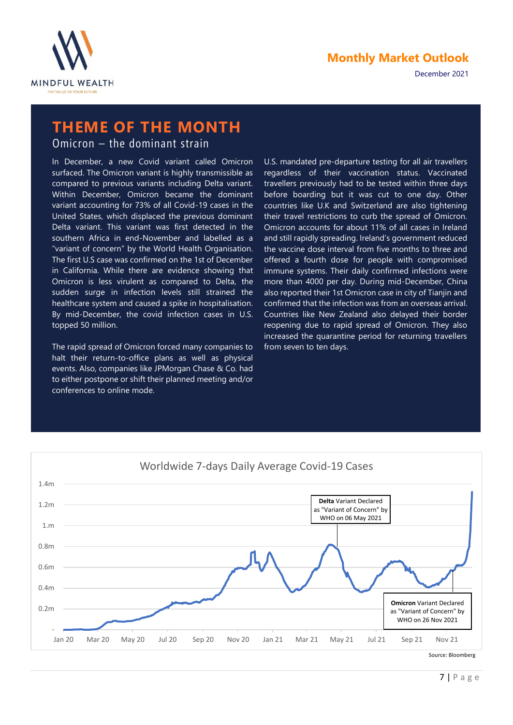



# **THEME OF THE MONTH**

Omicron – the dominant strain

In December, a new Covid variant called Omicron surfaced. The Omicron variant is highly transmissible as compared to previous variants including Delta variant. Within December, Omicron became the dominant variant accounting for 73% of all Covid-19 cases in the United States, which displaced the previous dominant Delta variant. This variant was first detected in the southern Africa in end-November and labelled as a "variant of concern" by the World Health Organisation. The first U.S case was confirmed on the 1st of December in California. While there are evidence showing that Omicron is less virulent as compared to Delta, the sudden surge in infection levels still strained the healthcare system and caused a spike in hospitalisation. By mid-December, the covid infection cases in U.S. topped 50 million.

The rapid spread of Omicron forced many companies to halt their return-to-office plans as well as physical events. Also, companies like JPMorgan Chase & Co. had to either postpone or shift their planned meeting and/or conferences to online mode.

U.S. mandated pre-departure testing for all air travellers regardless of their vaccination status. Vaccinated travellers previously had to be tested within three days before boarding but it was cut to one day. Other countries like U.K and Switzerland are also tightening their travel restrictions to curb the spread of Omicron. Omicron accounts for about 11% of all cases in Ireland and still rapidly spreading. Ireland's government reduced the vaccine dose interval from five months to three and offered a fourth dose for people with compromised immune systems. Their daily confirmed infections were more than 4000 per day. During mid-December, China also reported their 1st Omicron case in city of Tianjin and confirmed that the infection was from an overseas arrival. Countries like New Zealand also delayed their border reopening due to rapid spread of Omicron. They also increased the quarantine period for returning travellers from seven to ten days.

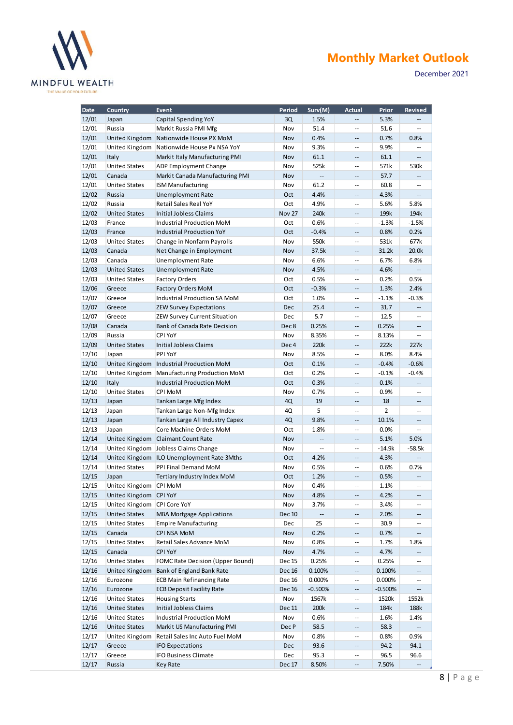

December 2021

| <b>Date</b> | <b>Country</b>        | <b>Event</b>                     | Period           | Surv(M)        | <b>Actual</b>              | Prior          | <b>Revised</b>           |
|-------------|-----------------------|----------------------------------|------------------|----------------|----------------------------|----------------|--------------------------|
| 12/01       | Japan                 | <b>Capital Spending YoY</b>      | 3Q               | 1.5%           | --                         | 5.3%           |                          |
| 12/01       | Russia                | Markit Russia PMI Mfg            | Nov              | 51.4           | --                         | 51.6           | $-$                      |
| 12/01       | United Kingdom        | Nationwide House PX MoM          | Nov              | 0.4%           | $\qquad \qquad -$          | 0.7%           | 0.8%                     |
| 12/01       | United Kingdom        | Nationwide House Px NSA YoY      | Nov              | 9.3%           | $\overline{\phantom{a}}$   | 9.9%           |                          |
| 12/01       | Italy                 | Markit Italy Manufacturing PMI   | Nov              | 61.1           | $\overline{a}$             | 61.1           |                          |
| 12/01       | <b>United States</b>  | ADP Employment Change            | Nov              | 525k           | $-$                        | 571k           | 530k                     |
| 12/01       | Canada                | Markit Canada Manufacturing PMI  | Nov              | Ξ.             | --                         | 57.7           |                          |
| 12/01       | <b>United States</b>  | <b>ISM Manufacturing</b>         | Nov              | 61.2           | $\overline{\phantom{a}}$   | 60.8           | $\overline{a}$           |
| 12/02       | Russia                | <b>Unemployment Rate</b>         | Oct              | 4.4%           | $\qquad \qquad -$          | 4.3%           |                          |
| 12/02       | Russia                | Retail Sales Real YoY            | Oct              | 4.9%           | $\overline{a}$             | 5.6%           | 5.8%                     |
| 12/02       | <b>United States</b>  | Initial Jobless Claims           | <b>Nov 27</b>    | 240k           | $-$                        | 199k           | 194k                     |
| 12/03       | France                | Industrial Production MoM        | Oct              | 0.6%           | $\overline{\phantom{a}}$   | $-1.3%$        | $-1.5%$                  |
| 12/03       | France                | <b>Industrial Production YoY</b> | Oct              | $-0.4%$        | --                         | 0.8%           | 0.2%                     |
| 12/03       | <b>United States</b>  | Change in Nonfarm Payrolls       | Nov              | 550k           | $\overline{\phantom{a}}$   | 531k           | 677k                     |
| 12/03       | Canada                | Net Change in Employment         | Nov              | 37.5k          | $\qquad \qquad -$          | 31.2k          | 20.0k                    |
| 12/03       | Canada                | <b>Unemployment Rate</b>         | Nov              | 6.6%           | $\overline{\phantom{a}}$   | 6.7%           | 6.8%                     |
| 12/03       | <b>United States</b>  | <b>Unemployment Rate</b>         | Nov              | 4.5%           | $\qquad \qquad -$          | 4.6%           |                          |
| 12/03       | <b>United States</b>  | <b>Factory Orders</b>            | Oct              | 0.5%           | $\overline{\phantom{a}}$   | 0.2%           | 0.5%                     |
| 12/06       | Greece                | <b>Factory Orders MoM</b>        | Oct              | $-0.3%$        | $\qquad \qquad -$          | 1.3%           | 2.4%                     |
| 12/07       | Greece                | Industrial Production SA MoM     | Oct              | 1.0%           | $-$                        | $-1.1%$        | $-0.3%$                  |
| 12/07       | Greece                | <b>ZEW Survey Expectations</b>   | Dec              | 25.4           | --                         | 31.7           |                          |
| 12/07       | Greece                | ZEW Survey Current Situation     | Dec              | 5.7            | $\overline{\phantom{m}}$   | 12.5           | --                       |
| 12/08       | Canada                | Bank of Canada Rate Decision     | Dec <sub>8</sub> | 0.25%          | --                         | 0.25%          | --                       |
| 12/09       | Russia                | CPI YoY                          | Nov              | 8.35%          | $\overline{a}$             | 8.13%          | --                       |
| 12/09       | <b>United States</b>  | Initial Jobless Claims           | Dec <sub>4</sub> | 220k           | $\qquad \qquad -$          | 222k           | 227k                     |
| 12/10       | Japan                 | PPI YoY                          | Nov              | 8.5%           | $\overline{\phantom{a}}$   | 8.0%           | 8.4%                     |
| 12/10       | <b>United Kingdom</b> | Industrial Production MoM        | Oct              | 0.1%           | $-$                        | $-0.4%$        | $-0.6%$                  |
| 12/10       | United Kingdom        | Manufacturing Production MoM     | Oct              | 0.2%           | $\overline{\phantom{a}}$   | $-0.1%$        | $-0.4%$                  |
| 12/10       | Italy                 | Industrial Production MoM        | Oct              | 0.3%           | $\overline{\phantom{a}}$ . | 0.1%           | $\overline{\phantom{a}}$ |
| 12/10       | <b>United States</b>  | CPI MoM                          | Nov              | 0.7%           | $-$                        | 0.9%           | $\overline{a}$           |
| 12/13       | Japan                 | Tankan Large Mfg Index           | 4Q               | 19             | --                         | 18             | --                       |
| 12/13       | Japan                 | Tankan Large Non-Mfg Index       | 4Q               | 5              | $-$                        | $\overline{2}$ | --                       |
| 12/13       | Japan                 | Tankan Large All Industry Capex  | 4Q               | 9.8%           | $\overline{a}$             | 10.1%          | $\qquad \qquad -$        |
| 12/13       | Japan                 | Core Machine Orders MoM          | Oct              | 1.8%           | $\overline{\phantom{a}}$   | 0.0%           |                          |
| 12/14       | United Kingdom        | <b>Claimant Count Rate</b>       | Nov              | Ξ.             | $-$                        | 5.1%           | 5.0%                     |
| 12/14       | United Kingdom        | Jobless Claims Change            | Nov              | $\overline{a}$ | $\overline{\phantom{a}}$   | $-14.9k$       | $-58.5k$                 |
| 12/14       | United Kingdom        | ILO Unemployment Rate 3Mths      | Oct              | 4.2%           | $\qquad \qquad -$          | 4.3%           |                          |
| 12/14       | <b>United States</b>  | PPI Final Demand MoM             | Nov              | 0.5%           | $\overline{\phantom{a}}$   | 0.6%           | 0.7%                     |
| 12/15       | Japan                 | Tertiary Industry Index MoM      | Oct              | 1.2%           | $\qquad \qquad -$          | 0.5%           |                          |
| 12/15       | United Kingdom        | <b>CPI MoM</b>                   | Nov              | 0.4%           | $\overline{\phantom{a}}$   | 1.1%           | ÷.                       |
| 12/15       | United Kingdom        | <b>CPI YoY</b>                   | Nov              | 4.8%           | $-\, -$                    | 4.2%           |                          |
| 12/15       | United Kingdom        | <b>CPI Core YoY</b>              | Nov              | 3.7%           | $\overline{\phantom{a}}$   | 3.4%           | --                       |
| 12/15       | <b>United States</b>  | <b>MBA Mortgage Applications</b> | Dec 10           | --             | --                         | 2.0%           | --                       |
| 12/15       | <b>United States</b>  | <b>Empire Manufacturing</b>      | Dec              | 25             | $\overline{\phantom{a}}$   | 30.9           | --                       |
| 12/15       | Canada                | CPI NSA MoM                      | Nov              | 0.2%           | $-\, -$                    | 0.7%           |                          |
| 12/15       | <b>United States</b>  | Retail Sales Advance MoM         | Nov              | 0.8%           | $\overline{\phantom{a}}$   | 1.7%           | 1.8%                     |
| 12/15       | Canada                | <b>CPI YoY</b>                   | Nov              | 4.7%           | $\overline{\phantom{a}}$   | 4.7%           |                          |
| 12/16       | <b>United States</b>  | FOMC Rate Decision (Upper Bound) | Dec 15           | 0.25%          | --                         | 0.25%          | --                       |
| 12/16       | United Kingdom        | Bank of England Bank Rate        | Dec 16           | 0.100%         | --                         | 0.100%         |                          |
| 12/16       | Eurozone              | <b>ECB Main Refinancing Rate</b> | Dec 16           | 0.000%         | $\overline{\phantom{a}}$   | 0.000%         |                          |
| 12/16       | Eurozone              | <b>ECB Deposit Facility Rate</b> | Dec 16           | $-0.500%$      | --                         | $-0.500%$      |                          |
| 12/16       | <b>United States</b>  | <b>Housing Starts</b>            | Nov              | 1567k          | $\overline{\phantom{a}}$   | 1520k          | 1552k                    |
| 12/16       | <b>United States</b>  | Initial Jobless Claims           | Dec 11           | 200k           | --                         | 184k           | 188k                     |
| 12/16       | <b>United States</b>  | Industrial Production MoM        | Nov              | 0.6%           | $\overline{\phantom{a}}$   | 1.6%           | 1.4%                     |
| 12/16       | <b>United States</b>  | Markit US Manufacturing PMI      | Dec P            | 58.5           | $\overline{\phantom{a}}$   | 58.3           |                          |
| 12/17       | United Kingdom        | Retail Sales Inc Auto Fuel MoM   | Nov              | 0.8%           | $\overline{\phantom{a}}$   | 0.8%           | 0.9%                     |
| 12/17       | Greece                | <b>IFO Expectations</b>          | Dec              | 93.6           | $-\, -$                    | 94.2           | 94.1                     |
| 12/17       | Greece                | <b>IFO Business Climate</b>      | Dec              | 95.3           | $\overline{\phantom{a}}$   | 96.5           | 96.6                     |
| 12/17       | Russia                | <b>Key Rate</b>                  | Dec 17           | 8.50%          | --                         | 7.50%          |                          |